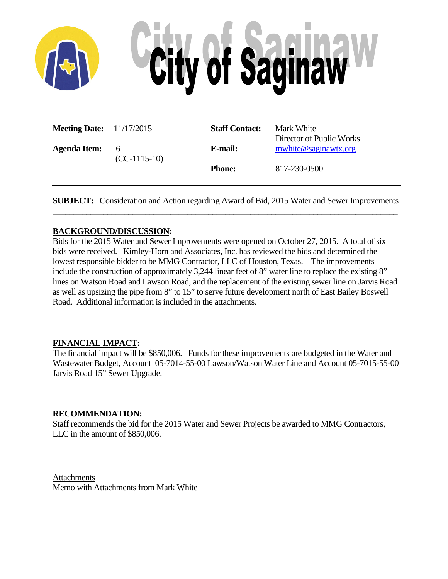

| <b>Meeting Date:</b> 11/17/2015 |                | <b>Staff Contact:</b> | Mark White                                       |
|---------------------------------|----------------|-----------------------|--------------------------------------------------|
| <b>Agenda Item:</b>             | 6              | E-mail:               | Director of Public Works<br>mwhite@saginawtx.org |
|                                 | $(CC-1115-10)$ | <b>Phone:</b>         | 817-230-0500                                     |
|                                 |                |                       |                                                  |

**SUBJECT:** Consideration and Action regarding Award of Bid, 2015 Water and Sewer Improvements **\_\_\_\_\_\_\_\_\_\_\_\_\_\_\_\_\_\_\_\_\_\_\_\_\_\_\_\_\_\_\_\_\_\_\_\_\_\_\_\_\_\_\_\_\_\_\_\_\_\_\_\_\_\_\_\_\_\_\_\_\_\_\_\_\_\_\_\_\_\_\_\_\_\_\_\_\_\_\_\_\_\_**

## **BACKGROUND/DISCUSSION:**

Bids for the 2015 Water and Sewer Improvements were opened on October 27, 2015. A total of six bids were received. Kimley-Horn and Associates, Inc. has reviewed the bids and determined the lowest responsible bidder to be MMG Contractor, LLC of Houston, Texas. The improvements include the construction of approximately 3,244 linear feet of 8" water line to replace the existing 8" lines on Watson Road and Lawson Road, and the replacement of the existing sewer line on Jarvis Road as well as upsizing the pipe from 8" to 15" to serve future development north of East Bailey Boswell Road. Additional information is included in the attachments.

## **FINANCIAL IMPACT:**

The financial impact will be \$850,006. Funds for these improvements are budgeted in the Water and Wastewater Budget, Account 05-7014-55-00 Lawson/Watson Water Line and Account 05-7015-55-00 Jarvis Road 15" Sewer Upgrade.

## **RECOMMENDATION:**

Staff recommends the bid for the 2015 Water and Sewer Projects be awarded to MMG Contractors, LLC in the amount of \$850,006.

**Attachments** Memo with Attachments from Mark White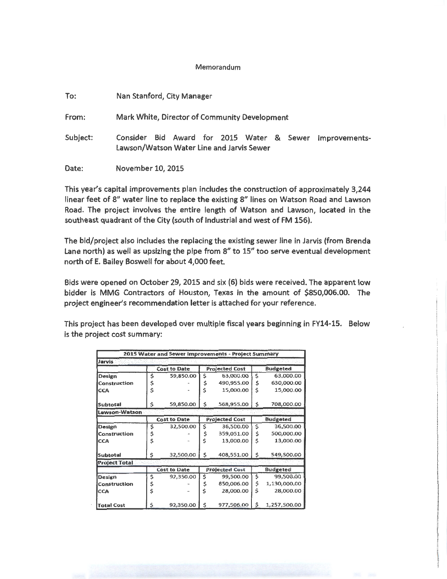#### Memorandum

| To:      | Nan Stanford, City Manager                                                                                 |  |  |  |  |  |  |  |  |  |  |
|----------|------------------------------------------------------------------------------------------------------------|--|--|--|--|--|--|--|--|--|--|
| From:    | Mark White, Director of Community Development                                                              |  |  |  |  |  |  |  |  |  |  |
| Subject: | Bid Award for 2015 Water & Sewer<br>Consider<br>Improvements-<br>Lawson/Watson Water Line and Jarvis Sewer |  |  |  |  |  |  |  |  |  |  |
| Date:    | November 10, 2015                                                                                          |  |  |  |  |  |  |  |  |  |  |

This year's capital improvements plan includes the construction of approximately 3,244 linear feet of 8" water line to replace the existing 8" lines on Watson Road and Lawson Road. The project involves the entire length of Watson and Lawson, located in the southeast quadrant of the City (south of Industrial and west of FM 156).

The bid/project also includes the replacing the existing sewer line in Jarvis (from Brenda Lane north) as well as upsizing the pipe from 8" to 15" too serve eventual development north of E. Bailey Boswell for about 4,000 feet.

Bids were opened on October 29, 2015 and six (6) bids were received. The apparent low bidder is MMG Contractors of Houston, Texas In the amount of \$850,006.00. The project engineer's recommendation letter is attached for your reference.

This project has been developed over multiple fiscal years beginning in FY14-15. Below is the project cost summary:

|                      |                 |                                                                 |    | 2015 Water and Sewer Improvements - Project Summary |                 |                 |  |  |  |
|----------------------|-----------------|-----------------------------------------------------------------|----|-----------------------------------------------------|-----------------|-----------------|--|--|--|
| Jarvis               |                 |                                                                 |    |                                                     |                 |                 |  |  |  |
|                      |                 | <b>Cost to Date</b>                                             |    | <b>Projected Cost</b>                               | <b>Budgeted</b> |                 |  |  |  |
| Design               | \$              | 59,850.00                                                       | \$ | 63,000.00                                           | \$              | 63,000.00       |  |  |  |
| Construction         | \$              |                                                                 | \$ | 490,955,00                                          | \$              | 630,000.00      |  |  |  |
| <b>CCA</b>           | Ś               |                                                                 | Ś  | 15,000,00                                           | Ś               | 15,000.00       |  |  |  |
| <b>Subtotal</b>      | \$              | 59,850.00                                                       | \$ | 568,955.00                                          | \$              | 708,000,00      |  |  |  |
| Lawson-Watson        |                 |                                                                 |    |                                                     |                 |                 |  |  |  |
|                      |                 | <b>Budgeted</b><br><b>Cost to Date</b><br><b>Projected Cost</b> |    |                                                     |                 |                 |  |  |  |
| Design               | \$<br>32,500.00 |                                                                 | \$ | 36,500.00                                           | Ś               | 36,500.00       |  |  |  |
| Construction         | \$              |                                                                 | \$ | 359,051.00                                          | \$              | 500,000.00      |  |  |  |
| <b>CCA</b>           | Ś               |                                                                 | Ś  | 13,000.00                                           | Ś               | 13,000.00       |  |  |  |
| Subtotal             | \$              | 32,500.00                                                       | \$ | 408,551.00                                          | \$              | 549,500.00      |  |  |  |
| <b>Project Total</b> |                 |                                                                 |    | 53297                                               |                 |                 |  |  |  |
|                      |                 | <b>Cost to Date</b>                                             |    | <b>Projected Cost</b>                               |                 | <b>Budgeted</b> |  |  |  |
| Design               | \$              | 92,350.00                                                       | \$ | 99,500.00                                           | \$              | 99,500.00       |  |  |  |
| <b>Construction</b>  |                 |                                                                 | \$ | 850,006.00                                          | Ś               | 1,130,000.00    |  |  |  |
| lcca                 | Ś               |                                                                 | Ś  | 28,000.00                                           | Ś               | 28,000.00       |  |  |  |
| <b>Total Cost</b>    | \$              | 92,350.00                                                       | Ś  | 977,506.00                                          | Ŝ               | 1,257,500.00    |  |  |  |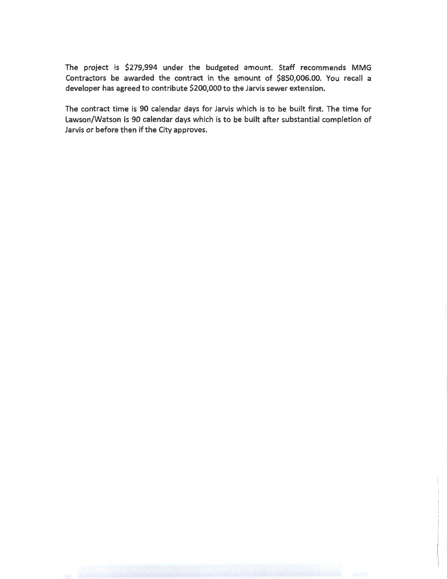The project is \$279,994 under the budgeted amount. Staff recommends MMG Contractors be awarded the contract in the amount of \$850,006.00. You recall a developer has agreed to contribute \$200,000 to the Jarvis sewer extension.

The contract time is 90 calendar days for Jarvis which is to be built first. The time for lawson/Watson is 90 calendar days which is to be built after substantial completion of Jarvis or before then if the City approves.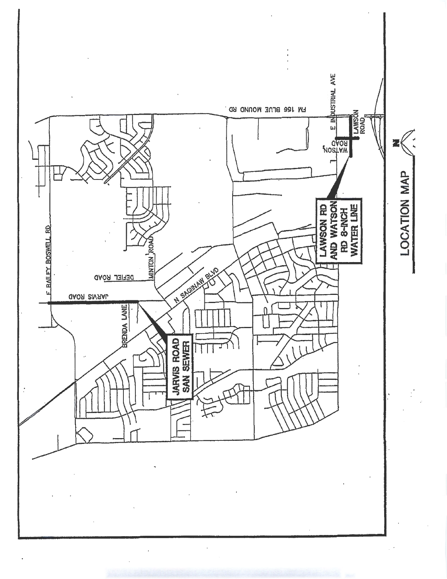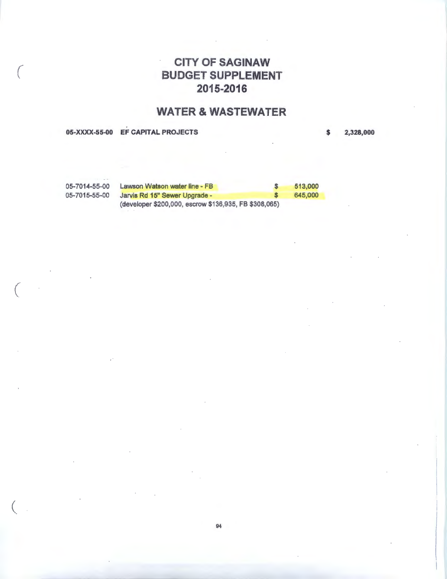# CITY Of SAGINAW BUDGET SUPPLEMENT 2015-2016

# WATER & WASTEWATER

05-XXXX-55-00 EF CAPITAL PROJECTS

 $\big($ 

 $\big($ 

 $\left($ 

\$ 2,328,000

05-7014-55-00 Lawson Watson water line - FB \$ 513,000 05-7015-55-00 Jarvis Rd 15" Sewer Upgrade - \$ 645,000 (developer \$200,000, escrow \$136,935, FB \$308,065)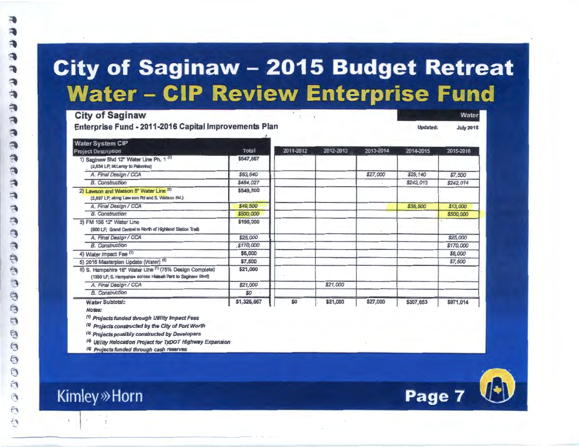# City of Saginaw - 2015 Budget Retreat Water - CIP Review Enterprise Fund

City of Saginaw Enterprise Fund • 2011·2016 Capital Improvements Plan

**Water System CIP** 2011-2012 2012-2013 2013-2014 2014-2015 **Project Description** Total 2015-2016 1) Saginaw Blvd 12" Water Line Ph. 1 (1) \$547,667 . (2,634 LF; M:Leroy to Palorrino) A. Final Design / CCA \$63,640 \$27,000 \$29,140 \$7,500 \$242,013 \$242.014 **B.** Construction \$484.027 \$549,500 2) Lawson and Watson 8" Water Line (5) (2,697 LF; along Law son Rd and S. watson Rd.) A. Final Design / CCA \$49,500 \$36,500  $$13,000$ **B.** Construction \$500,000 \$500,000 3) FM 156 12" Water Line \$195,000 (900 LF: Grand Central to North of Highland Station Trail) A. Final Design / CCA \$25,000 \$25,000 \$170,000 \$170,000 **R** Construction \$6,000 \$6,000 4) Water Impact Fee (1) 5) 2016 Masterplan Update (Water) (5) \$7,500 \$7,500 \$21,000 6) S. Hampshire 16" Water Line (1) (75% Design Complete) (1350 LF; S. Hampshire across Haleah Park to Saginaw Blvd) \$21,000 A. Final Design / CCA \$21,000 **B.** Construction \$0 \$1,326,667 **Water Subtotal:** \$0  $\parallel$  \$21,000  $\parallel$  \$27,000  $\parallel$  \$307,653  $\parallel$  \$971,014

Notes:

<sup>(1)</sup> Projects funded through Utility Impact Fees

*(ZJ* Projects constructed by the City of *Fort* Worth

<sup>(3)</sup> Projects possibly constructed by Developers

<sup>(4)</sup> Utility Relocation Project for TxDOT Highway Expansion

<sup>(\$)</sup> Projects funded through cash reserves



Water

**July 2015** 

**Undated:** 

# **Kimley** »Horn

 $f$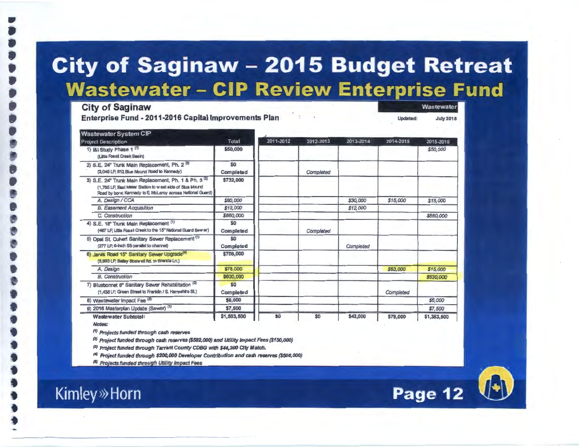# **City of Saginaw - 2015 Budget Retreat Wastewater – CIP Review Enterprise Fund**

Wastewater

**Page 12** 

**July 2015** 

**Updated:** 

**City of Saginaw** 

.,

**Enterprise Fund- 2011-2016 Capital Improvements Plan** 

| <b>Wastewater System CIP</b>                                                                                                                                                    |                  |           |           |           |           |             |
|---------------------------------------------------------------------------------------------------------------------------------------------------------------------------------|------------------|-----------|-----------|-----------|-----------|-------------|
| <b>Project Description</b>                                                                                                                                                      | Total            | 2011-2012 | 2012-2013 | 2013-2014 | 2014-2015 | 2015-2016   |
| 1) I&I Study Phase 1 (1)<br>(Little Fossil Creek Basin)                                                                                                                         | \$50,000         |           |           |           |           | \$50,000    |
| 2) S.E. 24" Trunk Main Replacement, Ph. 2 <sup>(2)</sup><br>(3.049 LP, 612 Blue Mound Road to Kennedy)                                                                          | \$0<br>Completed |           | Completed |           |           |             |
| 3) S.E. 24" Trunk Main Replacement, Ph. 1 & Ph. 3 (2)<br>(1,765 LF; East Meter Station to west side of Blue Mound<br>Road by bore; Kennedy to E. McLeroy across National Guard) | \$732,000        |           |           |           |           |             |
| A. Design / CCA                                                                                                                                                                 | \$60,000         |           |           | \$30,000  | \$15,000  | \$15,000    |
| <b>B. Easement Acquisition</b>                                                                                                                                                  | \$12,000         |           |           | \$12,000  |           |             |
| C. Construction                                                                                                                                                                 | \$660,000        |           |           |           |           | \$660,000   |
| 4) S.E. 18" Trunk Main Replacement (1)<br>(467 LF, Little Fossil Creek to the 15" National Guard Sew er)                                                                        | \$0<br>Completed |           | Completed |           |           |             |
| 5) Opal St. Culvert Sanitary Sewer Replacement (1)<br>(277 LP, 6-inch SS parallel to channel)                                                                                   | \$0<br>Completed |           |           | Completed |           |             |
| 6) Jarvis Road 15" Sanitary Sewer Upgrade <sup>(4)</sup><br>(3,993 LP; Bailey Boswell Rd. to Brenda Ln.)                                                                        | \$708,000        |           |           |           |           |             |
| A. Design                                                                                                                                                                       | \$78,000         |           |           |           | \$63,000  | \$15,000    |
| <b>B.</b> Construction                                                                                                                                                          | \$630,000        |           |           |           |           | \$630,000   |
| 7) Bluebonnet 8" Sanitary Sewer Rehabilitation (3)<br>(1,438 LF, Green Street to Franklin / S. Hampshire St.)                                                                   | \$0<br>Completed |           |           |           | Completed |             |
| 8) Wastewater Impact Fee (5)                                                                                                                                                    | \$6,000          |           |           |           |           | \$6,000     |
| 9) 2016 Masterplan Update (Sewer) (1)                                                                                                                                           | \$7,500          |           |           |           |           | \$7,500     |
| <b>Wastewater Subtotal:</b>                                                                                                                                                     | \$1,503,500      | \$0       | \$0       | \$42,000  | \$78,000  | \$1,383,500 |

Notes:

(1) Projects funded through cash reserves

<sup>(2)</sup> Project funded through cash reserves (\$582,000) and Utility Impact Fees (\$150,000)

<sup>(3)</sup> Project funded through Tarrant County CDBG with \$44,200 City Match.

<sup>(4)</sup> Project funded through \$200,000 Developer Contribution and cash reserves (\$508,000)

<sup>(5)</sup> Projects funded through Utility Impact Fees

**Kimley** »Horn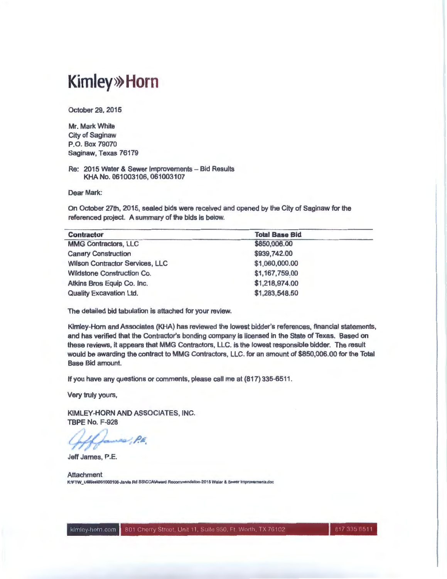# **Kimley>>> Horn**

October 29, 2015

Mr. Mark White City of Saginaw P.O. Box 79070 Saginaw, Texas 76179

Re: 2015 Water & Sewer Improvements - Bid Results KHA No. 061003106, 061003107

Dear Mark:

On October 27th, 2015, sealed bids were received and opened by the City of Saginaw for the referenced project. A summary of the bids is below.

| <b>Contractor</b>                      | <b>Total Base Bid</b> |  |
|----------------------------------------|-----------------------|--|
| <b>MMG Contractors, LLC</b>            | \$850,006.00          |  |
| <b>Canary Construction</b>             | \$939,742.00          |  |
| <b>Wilson Contractor Services, LLC</b> | \$1,060,000.00        |  |
| <b>Wildstone Construction Co.</b>      | \$1,167,759.00        |  |
| Atkins Bros Equip Co. Inc.             | \$1,218,974.00        |  |
| <b>Quality Excavation Ltd.</b>         | \$1,283,548.50        |  |

The detailed bid tabulation is attached for your review.

Kimley-Horn and Associates (KHA) has reviewed the lowest bidder's references, financial statements, and has verified that the Contractor's bonding company is licensed in the state of Texas. Based on these reviews, it appears that MMG Contractors, LLC. is the lowest responsible bidder. The result would be awarding the contract to MMG Contractors, LLC. for an amount of \$850,006.00 for the Total Base Bid amount.

If you have any questions or comments, please call me at (817) 335-6511 .

Very truly yours,

KIMLEY-HORN AND ASSOCIATES, INC. TBPE No. F-928

 $~\approx$   $~\rho_{\rm E}$ 

Jeff James, P.E.

**Attachment** K:VFTW\_UIIII/es\061003106-Jarvis Rd SS\CCA\Award Recommendation-2015 Waler & Sewer Improvaments.doc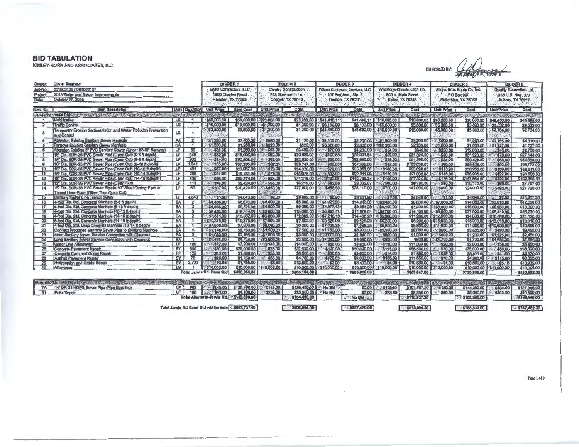### **BID TABULATION**

KIMLEY-HORN AND ASSOCIATES, INC.

CHECKED BY: CALL CONSTRUCT

| Owner:                    | City of Saginaw                                                                                        |                         |                            |                                 | <b>BIDDER</b>                                      | <b>BIDDER 2</b>         |                     | <b>BIDDER 3</b>                        |                                        | <b>BIDDER 4</b>            |                            | <b>BIDDER5</b>                       |                            | <b>BIDDER 6</b>            |                         |  |
|---------------------------|--------------------------------------------------------------------------------------------------------|-------------------------|----------------------------|---------------------------------|----------------------------------------------------|-------------------------|---------------------|----------------------------------------|----------------------------------------|----------------------------|----------------------------|--------------------------------------|----------------------------|----------------------------|-------------------------|--|
| Job No.:                  | 081003106 / 061003107                                                                                  |                         |                            |                                 | <b>MMG Contractors, LLC</b>                        |                         | Canary Construction | <b>Wilson Contractor Services, LLC</b> |                                        |                            | Wildstone Construction Co. |                                      | Atkins Bros Equip Co. Inc. | Quality Excavation Ltd.    |                         |  |
| Project                   | 2015 Water and Sewer Improvements                                                                      |                         |                            | 1900 Charles Road               |                                                    | 523 Greenwich Ln.       |                     |                                        | 107 Bell Ave., Ste. 3                  |                            | 800 N. Main Street         |                                      | <b>PO Box 990</b>          | 958 U.S. Hwy. 377          |                         |  |
| October 27, 2015<br>Date: |                                                                                                        |                         |                            | Houston, TX 77093               |                                                    | Coppell, TX 75019       |                     | Denton, TX 76201                       |                                        | Keller, TX 76248           | Midlothian, TX 78065       |                                      | Aubrey, TX 76227           |                            |                         |  |
| Item No.                  | tiem Description                                                                                       |                         |                            | <b>Unit Quantity Unit Price</b> | <b>Item Cost</b>                                   | <b>Unit Price</b>       | Cost                | <b>Unit Price</b>                      | Cost                                   | Unit Price                 | Cost                       | Unit Price                           | Cost                       | <b>Unit Price</b>          | Cost                    |  |
|                           | TAYLANE TAYLOR COMMUNICATIONS IN THE REPORT OF THE REAL PROPERTY.                                      |                         |                            |                                 |                                                    |                         | 242532              |                                        | <b>TAX CREW ASSESSMENT OF A LICENS</b> |                            |                            |                                      |                            |                            | 小さい                     |  |
|                           | <b>Mobilization</b>                                                                                    | LS                      |                            | 350.000.00                      |                                                    | \$50,000,00 323,000,00  |                     | \$23,000.00 \$41,418.11                |                                        | \$41,418.11 \$10,600.00    |                            | \$10,600.00 \$20,000.00              |                            | \$20,000,00 \$49,650,00    | \$49,650.00             |  |
|                           | Traffic Control                                                                                        | LS                      |                            | \$10,000.00                     | \$10,000.00                                        | \$1,200.00              | \$1,200.00          | \$6,100.00                             | \$6,100.00                             | \$5,500.00                 | \$5,500.00                 | \$\$5,000.00                         | \$5,000.00                 | \$3,532.00                 | \$3,532.00              |  |
| $\mathbf{3}$              | Temporary Erosion Sedimentation and Water Pollution Prevention<br>and Control                          | LS                      |                            | \$3,500.00                      | \$3,500.00                                         | \$1,200.00              | \$1,200.00          | \$43,680.00                            | \$43,680.00                            | \$15,000,00                | \$15,000.00                | \$5,000.00                           | \$5,000.00                 | \$2,764.00                 | \$2,784.00              |  |
|                           | Abandon Existing Sanitary Sewer Manhole                                                                | EA                      |                            | \$1,250.00                      | \$2,500.00                                         | \$560,00                | \$1,120.00          | \$1,100.00                             |                                        | \$2,200.00 \$3\$1,600.00   | \$3,200.00                 | \$500.00.                            |                            | \$1,000.00 \$\$2,155.00    | \$4,310.00              |  |
| Б                         | Remove Existing Sanilary Sewer Manhole                                                                 | EA                      |                            | \$1,250,00                      | \$1,250.00                                         | \$620.00                | \$620.00            | \$3,600.00                             | \$3,600.00                             | \$2,200,00                 |                            | S2,200.00 \$1,000.00                 |                            | \$1,000.00 \$\$1,727.00    | \$1,727.00              |  |
| $\epsilon$                | Abandon Existing 8" PVC Sanitary Sewer (Under BNSF Railway)                                            | <b>LF</b>               | 60                         | \$21.00                         | \$1,280.00                                         | \$58.00                 | \$3,480.00          | \$70.00                                | \$4,200.00                             | \$14.00                    |                            | \$840.00 \$3200.00                   | \$12,000.00                | \$45.00                    | \$2,700.00              |  |
|                           | 15" Dia, SDR-35 PVC Sewer Ploe (Open Cut) (0-8 ft depth)                                               | ℡                       | 348                        | \$52.00                         | \$18,096.00                                        | \$60.00                 | \$20,880.00         | \$100.58                               | \$35,001.84                            | \$90.00                    |                            | \$31,320.00 5 590.00                 | \$31,320,00                | \$78.00                    | \$27,144.00             |  |
| $\mathbf{a}$              | 15" Dia, SDR-35 PVC Sawer Pipe (Open Cut) (6-8 ft depth)                                               | LF                      | 962                        | \$84,00                         | \$80,808.00                                        | \$65,00                 | \$62,530.00         | \$65.00                                | \$62,530.00                            | \$95,00                    | \$91,390.00                | \$94.00                              | \$90,428.00                | \$88.00                    | \$84,658,00             |  |
| $\Omega$                  | 15" Dia, SDR-35 PVC Sewer Pipe (Open Cut) (8-10 ft depth)                                              | LF                      | 1.041                      | \$55,00                         | \$57,256.00                                        | \$67.00                 | \$69,747.00         | \$65,00                                | \$67,665,00                            | \$99.00                    | \$103,059.00               | \$96.00                              | \$99,936,00                | \$92.00                    | \$96,772.00             |  |
| 10                        | 15" Dia, SDR-35 PVC Sewer Ploe (Open Cut) (10-12 ft depih)                                             | LF                      | 491                        | \$57,00<br><b>MAG</b>           | \$27,987.00                                        | \$70.00                 | \$34,370.00         | S72.00                                 | \$35,352.00                            | \$108,00                   | \$53,028.00                | \$116,00                             | \$56,956.00                | \$109.00                   | \$53,519,00             |  |
| 11                        | 15" Dia, SDR-35 PVC Sevier Pipe (Open Cut) (12-14 ft depth)                                            | <b>LF</b>               | 253                        | \$61,00                         | \$15,433.00                                        | \$75.00                 | \$18,975.00         | 1:\$87:00                              | \$22,011.00                            | \$110.00                   | \$27,830.00                | \$146.00                             | \$36,938.00                | \$122.00                   | \$30,886,00             |  |
| 12                        | 15" Dia, SDR-35 PVC Sewer Pipe (Open Cut) (14-18 it depth)                                             | <b>LF</b>               | 839                        | \$86,00                         | \$55,374,00                                        | \$85.00                 | \$71,316.00         | 888132.06                              | \$110,798.34                           | \$116,00                   | \$97,324,00                | \$176.00                             | \$147,664.00               | \$122,00                   | \$102,358.00            |  |
| 13                        | 12" Dia. SDR-35 PVC Sewer Pipe (Open Cut)                                                              | $\mathsf{L} \mathsf{F}$ | 113                        | \$48.00                         | \$5,424.00                                         | \$55,00                 | \$6,215,00          | \$82.59                                | \$9,332.67                             | \$60.00                    | \$6,780.00                 | \$90.00                              | \$10,170.00                | \$89,00                    | \$7,797.00              |  |
| 14                        | 15" Diz. SDR-35 PVC Sewer Pipe in 30" Steel Casing Pipe or<br>Tunnel Liner Plate (Other Than Open Cut) | LF                      | 60                         | \$507.00                        | \$30,420.00                                        | \$450.00                | \$27,000.00         | \$468.50                               | \$28,110.00                            | \$700.00                   | \$42,000,00                | \$400.00                             | \$24,000.00                | \$462.00                   | \$27,720,00             |  |
| 15                        | Sanijary Sewer Line Trench Safety                                                                      | LF                      | 4,046                      | \$1.00                          | \$4,046.00                                         | \$200                   | \$8,092.00          | \$220                                  | \$8,901.20                             | $s$ 1.00                   | \$4,046.00                 | 12 \$1.00                            | \$4,046.00                 | \$2.52.55                  | \$10,317.30             |  |
| 16                        | 4-foot Dia. Std. Concrete Manhole (6-8 ft depth)                                                       | EA                      | $\overline{2}$             | \$4,438,00                      |                                                    | \$8,876.00 \$4,000.00   | \$8,000.00          | \$7,021.53                             |                                        | \$14,043.06 \$3,400.00     | \$6,800.00                 | \$7,000.00                           |                            | \$14,000.00 \$\$6,310.00   | \$12,620.00             |  |
| 17                        | 4-foot Dia. Std. Concrete Manhole (8-10 ft depth)                                                      | EA                      | 2                          | \$4,938.00                      |                                                    | \$9,876.00 34.500.00    | \$9,000.00          | \$4,977.13                             |                                        | \$9,954.28 \$4,100.00      | \$8,200.00                 | \$8,000.00                           |                            | \$16,000.00 \$56,660.00.   | \$13,320.00             |  |
| 18                        | 4-foot Dia, Std. Concrete Manhole (10-12 ft depth)                                                     | EA                      | 3                          | \$5,438.00                      |                                                    | \$19,314.00 35,000.00   |                     | \$15,000.00 38,993,17                  |                                        | \$17,979.51 \$1.700.00.    | \$14,100.00                | \$9,000,00                           |                            | \$27,000,00 \$ \$8,410,00. | \$25,230.00             |  |
| 18                        | 4-foot Dia. Std. Concrete Manhole (14-16 ft depth)                                                     | EA                      |                            | \$7,531.00                      |                                                    | \$15,062.00 \$6,000.00  |                     | \$12,000.00 \$7:218.13                 |                                        | \$14,436.28 \$5,600.00     |                            | \$11,200.00 \$12,000.00              |                            | \$24,000.00 \$10,580.00    | \$21,120.00             |  |
| 20                        | 5-foot Dia. Std. Concrete Manhole (14-16 ft depth)                                                     | EA                      | $\overline{\mathbf{1}}$    | \$10,376,00                     |                                                    | \$10,375.00 \$57,000.00 |                     | \$7,000.00 \$39,525.00                 |                                        | \$9,525.00 \$58,200.00     |                            | \$6,200.00 \$\$15,000.00             |                            | \$15,000.00 \$13,910.00    | \$13,910.00             |  |
| 21                        | 4-foot Dia, Std. Drop Concrete Marthole (12-14 ft depth)                                               | EA                      |                            | \$7,500.00                      |                                                    | \$7,500.00 \$\$6,000.00 | \$6,000.00          | \$7,038.25                             |                                        | \$7.038.25 \$\$5.800.00    |                            | \$5,800.00 \$11,000.00               |                            | \$11,000.00 \$10,600.00    | \$10,600.00             |  |
| 22                        | Connect Proposed Sanitary Sewer Pipe to Existing Manhole                                               | EA                      | 5                          | \$1,146.00                      |                                                    | \$5,730.00 351,500.00   | \$7,500.00          | \$1,780.00                             |                                        | \$8,900.00 351,200.00      |                            | \$6,000,00 \$8 \$500.00              | \$2,500.00                 | \$490.00                   | \$2,450.00              |  |
| 23                        | Short Sanitary Sewer Service Connection with Cleanout                                                  | EA                      | $\mathbf{\Omega}$          | \$1,083.00                      |                                                    | 52,166.00 3.51,500.00   | \$3,000.00          | 5770.00                                | \$1,540.00                             | \$500.00                   | \$1,000.00                 | \$600,00                             |                            | \$1,200.00 1 \$1,225.00    | \$2,450,00              |  |
| 24                        | Long Sanitary Sewer Service Connection with Cleanout                                                   | EA                      | $\mathbf{I}$               | \$1,438.00                      | \$1,438.00                                         | \$2,500,00              | \$2,500.00          | \$4,050.00                             | \$4,050.00                             | \$600,00                   |                            | \$600.00 \$1700.00                   |                            | \$1,700.00 \$1,685,00      | \$1,685.00              |  |
| 25                        | Water Line Adjustment                                                                                  | LF                      | 100                        | 37200                           | \$7,200.00                                         | $-5140.00$              | \$14,000.00         | \$38.00                                | \$3,600.00                             | \$11000                    | \$11,000.00                | \$20.00                              | \$2,000.00                 | \$56.00                    | \$5,800.00              |  |
| 26                        | <b>Concrete Pavement Repair</b>                                                                        | SY                      | 500                        | \$50,00                         | \$25,000.00                                        | \$75.00                 | \$37,500.00         | $= $100.00$                            | \$50,000.00                            | \$113.00                   | \$56,500.00                | \$70.00                              | \$35,000.00                | \$86,00                    | \$33,000.00             |  |
| 27                        | Concrete Curb and Gutter Repair                                                                        | <b>IF</b>               | 120                        | \$13,00<br>$-755$               | \$1,550.00                                         | \$55.00                 | \$6,600.00          | \$30.00                                | \$3,600.00                             | \$14.00                    | \$1,880.00                 | \$45.00                              | \$5,400.00                 | \$41,00                    | \$4,920.00              |  |
| 28                        | Asphalt Pavement Repair                                                                                | SY                      | 70                         | \$25,00                         | \$1,750.00                                         | \$68.00                 | \$4,760.00          | \$129.05                               | \$9,033.50                             | \$165.00                   | \$11,650,00                | \$70.00                              | \$4,900.00                 | \$115.00                   | \$8,050.00              |  |
| 29                        | <b>Hydromulch and Grade Repair</b>                                                                     | <b>SY</b>               | 2,700                      | \$0.65                          | \$1,755.00                                         | \$5,00                  | \$13,500.00         | \$2.00                                 | \$5,400.00                             | \$4.00                     | \$10,800.00                | \$4.00                               | \$10,800.00                | \$5.15                     | \$13,905.00             |  |
| 30                        | Allowance                                                                                              | LS                      |                            | \$\$10,000.00                   |                                                    | \$10,000,00 \$10,000.00 |                     | 510,000.00 \$10,000.00                 |                                        | \$10,000.00 \$ \$10,000.00 |                            | \$10,000.00 \$10,000.00              |                            | \$10,000.00 \$10,000.00    | \$10,000.00             |  |
|                           |                                                                                                        |                         |                            |                                 | Total Jarvis Rd. Base Bld \$490,955,00             |                         | \$506,104.00        |                                        | \$650,000.00                           |                            | \$655,547.00               |                                      | \$725,868,00               |                            | \$883,692.30            |  |
|                           | Alemaia Bettenery a strangement stay, all cards as a stay and                                          |                         | <b>MACK PRODUCTION AND</b> |                                 | <b>British</b>                                     | <b>RROY</b>             |                     | <b>Journal Street, Marshall</b>        | <b>DEATH AND REAL PROPERTY</b>         |                            |                            | <b>The District of Concern State</b> | ■ インス おき 名代                |                            | <b>STANDARD COMPANY</b> |  |
| <b>7A</b>                 | 14" DR-21 HDPE Sewer Pipe (Pipe Bursting)                                                              | LF 1                    | 962                        |                                 | \$145,00 \$139,490.00                              | \$145,00                | \$139,490.00 Mo Bld |                                        | \$0.00                                 | 12\$105.60                 |                            | \$101,587,20 \$150.00                | \$144,300.00               | \$133.00                   | \$127,948,00            |  |
| 31                        | Point Repair                                                                                           | LF                      | 100                        | \$41.00<br><b>BORS</b>          | \$4,100.00                                         | \$250.00                | \$25,000.00         | <b>No Bid</b>                          | \$0,00                                 | \$93.50                    | \$9,350.00                 | \$60.00                              | \$8,000.00                 | \$205.00                   | \$20,600.00             |  |
|                           |                                                                                                        |                         |                            |                                 | Total Alternate-Jarvis Rd. 3143,596.00             |                         | \$164,490.00        |                                        | No Bid                                 |                            | \$110.937.20               |                                      | \$150,300,00               |                            | \$148,446,00            |  |
|                           |                                                                                                        |                         |                            |                                 |                                                    |                         |                     |                                        |                                        |                            |                            |                                      |                            |                            |                         |  |
|                           |                                                                                                        |                         |                            |                                 | Total Jarvis Rd Base Bid w/Alternate \$663,737,00. |                         | 608.064.00          |                                        | \$537,470.00                           |                            | 5675,094.20                |                                      | \$785,830.00               |                            | \$747,482.30            |  |

 $\sqrt{$608,064.00}$  $5537,470.00$ 

Page 1 of 2